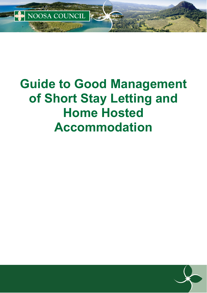

NOOSA COUNCIL

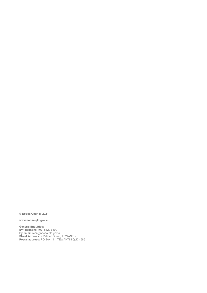**© Noosa Council 2021**

**www.noosa.qld.gov.au**

**General Enquiries: By telephone:** (07) 5329 6500 **By email:** mail@noosa.qld.gov.au **Street Address:** 9 Pelican Street, TEWANTIN **Postal address:** PO Box 141, TEWANTIN QLD 4565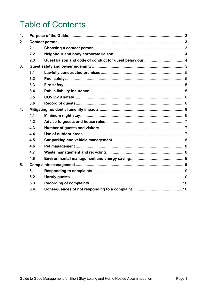# **Table of Contents**

| $\mathbf 1$      |     |  |  |
|------------------|-----|--|--|
| 2.               |     |  |  |
|                  | 2.1 |  |  |
|                  | 2.2 |  |  |
|                  | 2.3 |  |  |
| 3.               |     |  |  |
|                  | 3.1 |  |  |
|                  | 3.2 |  |  |
|                  | 3.3 |  |  |
|                  | 3.4 |  |  |
|                  | 3.5 |  |  |
|                  | 3.6 |  |  |
| $\overline{4}$ . |     |  |  |
|                  | 4.1 |  |  |
|                  | 4.2 |  |  |
|                  | 4.3 |  |  |
|                  | 4.4 |  |  |
|                  | 4.5 |  |  |
|                  | 4.6 |  |  |
|                  | 4.7 |  |  |
|                  | 4.8 |  |  |
| 5.               |     |  |  |
|                  | 5.1 |  |  |
|                  | 5.2 |  |  |
|                  | 5.3 |  |  |
|                  | 5.4 |  |  |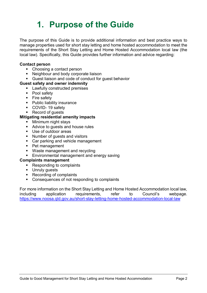# <span id="page-3-0"></span>**1. Purpose of the Guide**

The purpose of this Guide is to provide additional information and best practice ways to manage properties used for short stay letting and home hosted accommodation to meet the requirements of the Short Stay Letting and Home Hosted Accommodation local law (the local law). Specifically, this Guide provides further information and advice regarding:

#### **Contact person**

- Choosing a contact person
- Neighbour and body corporate liaison
- Guest liaison and code of conduct for guest behavior

#### **Guest safety and owner indemnity**

- **Lawfully constructed premises**
- Pool safety
- **Fire safety**
- **Public liability insurance**
- COVID-19 safety
- Record of quests

#### **Mitigating residential amenity impacts**

- **Minimum night stays**
- Advice to quests and house rules
- Use of outdoor areas
- **Number of quests and visitors**
- Car parking and vehicle management
- Pet management
- **Waste management and recycling**
- **Environmental management and energy saving**

#### **Complaints management**

- Responding to complaints<br>■ Unruly quests
- Unruly guests
- Recording of complaints
- Consequences of not responding to complaints

For more information on the Short Stay Letting and Home Hosted Accommodation local law, including application requirements, refer to Council's webpage. https://www.noosa.qld.gov.au/short-stay-letting-home-hosted-accommodation-local-law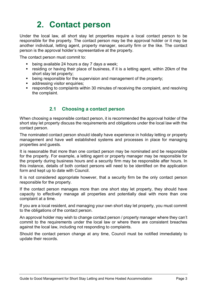# **2. Contact person**

<span id="page-4-0"></span>Under the local law, all short stay let properties require a local contact person to be responsible for the property. The contact person may be the approval holder or it may be another individual, letting agent, property manager, security firm or the like. The contact person is the approval holder's representative at the property.

The contact person must commit to:

- being available 24 hours a day 7 days a week:
- residing or having their place of business, if it is a letting agent, within 20km of the short stay let property;
- being responsible for the supervision and management of the property;
- **addressing visitor enquiries;**
- responding to complaints within 30 minutes of receiving the complaint, and resolving the complaint.

### **2.1 Choosing a contact person**

<span id="page-4-1"></span>When choosing a responsible contact person, it is recommended the approval holder of the short stay let property discuss the requirements and obligations under the local law with the contact person.

The nominated contact person should ideally have experience in holiday letting or property management and have well established systems and processes in place for managing properties and guests.

It is reasonable that more than one contact person may be nominated and be responsible for the property. For example, a letting agent or property manager may be responsible for the property during business hours and a security firm may be responsible after hours. In this instance, details of both contact persons will need to be identified on the application form and kept up to date with Council.

It is not considered appropriate however, that a security firm be the only contact person responsible for the property.

If the contact person manages more than one short stay let property, they should have capacity to effectively manage all properties and potentially deal with more than one complaint at a time.

If you are a local resident, and managing your own short stay let property, you must commit to the obligations of the contact person.

An approval holder may wish to change contact person / property manager where they can't commit to the requirements under the local law or where there are consistent breaches against the local law, including not responding to complaints.

Should the contact person change at any time, Council must be notified immediately to update their records.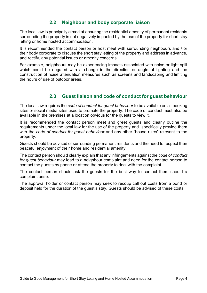# **2.2 Neighbour and body corporate liaison**

<span id="page-5-0"></span>The local law is principally aimed at ensuring the residential amenity of permanent residents surrounding the property is not negatively impacted by the use of the property for short stay letting or home hosted accommodation.

It is recommended the contact person or host meet with surrounding neighbours and / or their body corporate to discuss the short stay letting of the property and address in advance, and rectify, any potential issues or amenity concerns.

For example, neighbours may be experiencing impacts associated with noise or light spill which could be negated with a change in the direction or angle of lighting and the construction of noise attenuation measures such as screens and landscaping and limiting the hours of use of outdoor areas.

# **2.3 Guest liaison and code of conduct for guest behaviour**

<span id="page-5-1"></span>The local law requires the *code of conduct for guest behaviour* to be available on all booking sites or social media sites used to promote the property. The code of conduct must also be available in the premises at a location obvious for the guests to view it.

It is recommended the contact person meet and greet guests and clearly outline the requirements under the local law for the use of the property and specifically provide them with the *code of conduct for guest behaviour* and any other "house rules" relevant to the property.

Guests should be advised of surrounding permanent residents and the need to respect their peaceful enjoyment of their home and residential amenity.

The contact person should clearly explain that any infringements against the *code of conduct for guest behaviour* may lead to a neighbour complaint and need for the contact person to contact the guests by phone or attend the property to deal with the complaint.

The contact person should ask the guests for the best way to contact them should a complaint arise.

The approval holder or contact person may seek to recoup call out costs from a bond or deposit held for the duration of the guest's stay. Guests should be advised of these costs.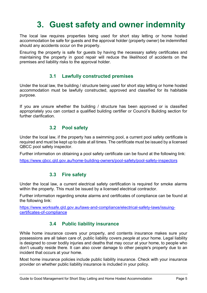# **3. Guest safety and owner indemnity**

<span id="page-6-0"></span>The local law requires properties being used for short stay letting or home hosted accommodation be safe for guests and the approval holder (property owner) be indemnified should any accidents occur on the property.

Ensuring the property is safe for guests by having the necessary safety certificates and maintaining the property in good repair will reduce the likelihood of accidents on the premises and liability risks to the approval holder.

#### **3.1 Lawfully constructed premises**

<span id="page-6-1"></span>Under the local law, the building / structure being used for short stay letting or home hosted accommodation must be lawfully constructed, approved and classified for its habitable purpose.

If you are unsure whether the building / structure has been approved or is classified appropriately you can contact a qualified building certifier or Council's Building section for further clarification.

### **3.2 Pool safety**

<span id="page-6-2"></span>Under the local law, if the property has a swimming pool, a current pool safety certificate is required and must be kept up to date at all times. The certificate must be issued by a licensed QBCC pool safety inspector.

Further information on obtaining a pool safety certificate can be found at the following link:

<span id="page-6-3"></span>https://www.qbcc.qld.gov.au/home-building-owners/pool-safety/pool-safety-inspectors

### **3.3 Fire safety**

Under the local law, a current electrical safety certification is required for smoke alarms within the property. This must be issued by a licensed electrical contractor.

Further information regarding smoke alarms and certificates of compliance can be found at the following link:

https://www.worksafe.qld.gov.au/laws-and-compliance/electrical-safety-laws/issuingcertificates-of-compliance

# **3.4 Public liability insurance**

<span id="page-6-4"></span>While home insurance covers your property, and contents insurance makes sure your possessions are all taken care of, public liability covers *people* at your home. Legal liability is designed to cover bodily injuries and deaths that may occur at your home, to people who don't usually reside there. It can also cover damage to other people's property due to an incident that occurs at your home.

Most home insurance policies include public liability insurance. Check with your insurance provider on whether public liability insurance is included in your policy.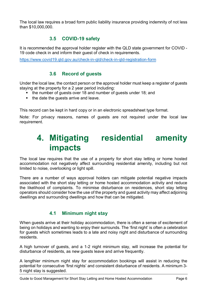The local law requires a broad form public liability insurance providing indemnity of not less than \$10,000,000.

# **3.5 COVID-19 safety**

<span id="page-7-0"></span>It is recommended the approval holder register with the QLD state government for COVID - 19 code check in and inform their guest of check in requirements.

<span id="page-7-1"></span>https://www.covid19.qld.gov.au/check-in-qld/check-in-qld-registration-form

## **3.6 Record of guests**

Under the local law, the contact person or the approval holder must keep a register of guests staying at the property for a 2 year period including:

- the number of guests over 18 and number of guests under 18; and
- $\blacksquare$  the date the quests arrive and leave.

This record can be kept in hard copy or in an electronic spreadsheet type format.

Note: For privacy reasons, names of guests are not required under the local law requirement.

# <span id="page-7-2"></span>**4. Mitigating residential amenity impacts**

The local law requires that the use of a property for short stay letting or home hosted accommodation not negatively affect surrounding residential amenity, including but not limited to noise, overlooking or light spill.

There are a number of ways approval holders can mitigate potential negative impacts associated with the short stay letting or home hosted accommodation activity and reduce the likelihood of complaints. To minimise disturbance on residences, short stay letting operators should consider how the use of the property and guest activity may affect adjoining dwellings and surrounding dwellings and how that can be mitigated.

# **4.1 Minimum night stay**

<span id="page-7-3"></span>When guests arrive at their holiday accommodation, there is often a sense of excitement of being on holidays and wanting to enjoy their surrounds. The 'first night' is often a celebration for guests which sometimes leads to a late and noisy night and disturbance of surrounding residents.

A high turnover of guests, and a 1-2 night minimum stay, will increase the potential for disturbance of residents, as new guests leave and arrive frequently.

A lengthier minimum night stay for accommodation bookings will assist in reducing the potential for consecutive 'first nights' and consistent disturbance of residents. A minimum 3- 5 night stay is suggested.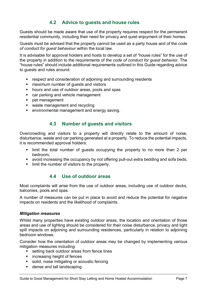# **4.2 Advice to guests and house rules**

<span id="page-8-0"></span>Guests should be made aware that use of the property requires respect for the permanent residential community, including their need for privacy and quiet enjoyment of their homes.

Guests must be advised that the property cannot be used as a party house and of the c*ode of conduct for guest behaviour* within the local law.

It is advisable for approval holders and hosts to develop a set of "house rules" for the use of the property in addition to the requirements of the *code of conduct for guest behavior*. The "house rules" should include additional requirements outlined in this Guide regarding advice to guests and rules around:

- **EX FE** respect and consideration of adjoining and surrounding residents
- **EXECUTE:** maximum number of quests and visitors
- **•** hours and use of outdoor areas, pools and spas
- **E** car parking and vehicle management
- **Pet management**
- waste management and recycling
- **EXECTE FIRTH** environmental management and energy saving.

### **4.3 Number of guests and visitors**

<span id="page-8-1"></span>Overcrowding and visitors to a property will directly relate to the amount of noise, disturbance, waste and car parking generated at a property. To reduce the potential impacts, it is recommended approval holders:

- **I limit the total number of guests occupying the property to no more than 2 per** bedroom;
- avoid increasing the occupancy by not offering pull-out extra bedding and sofa beds;
- <span id="page-8-2"></span>■ limit the number of visitors to the property.

### **4.4 Use of outdoor areas**

Most complaints will arise from the use of outdoor areas, including use of outdoor decks, balconies, pools and spas.

A number of measures can be put in place to avoid and reduce the potential for negative impacts on residents and the likelihood of complaints.

#### *Mitigation measures*

Whilst many properties have existing outdoor areas, the location and orientation of those areas and use of lighting should be considered for their noise disturbance, privacy and light spill impacts on adjoining and surrounding residences, particularly in relation to adjoining bedroom windows.

Consider how the orientation of outdoor areas may be changed by implementing various mitigation measures including:

- setting back outdoor areas from fence lines
- **EXECUTE:** increasing height of fences
- solid, noise mitigating or acoustic fencing
- **dense and tall landscaping**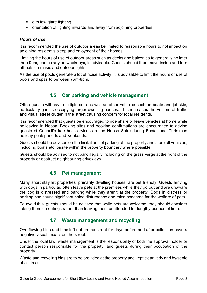- **dim low glare lighting**
- orientation of lighting inwards and away from adjoining properties

#### *Hours of use*

It is recommended the use of outdoor areas be limited to reasonable hours to not impact on adjoining resident's sleep and enjoyment of their homes.

Limiting the hours of use of outdoor areas such as decks and balconies to generally no later than 9pm, particularly on weekdays, is advisable. Guests should then move inside and turn off outside music and outdoor lights.

As the use of pools generate a lot of noise activity, it is advisable to limit the hours of use of pools and spas to between 7am-8pm.

# **4.5 Car parking and vehicle management**

<span id="page-9-0"></span>Often guests will have multiple cars as well as other vehicles such as boats and jet skis, particularly guests occupying larger dwelling houses. This increases the volume of traffic and visual street clutter in the street causing concern for local residents.

It is recommended that guests be encouraged to ride share or leave vehicles at home while holidaying in Noosa. Booking sites and booking confirmations are encouraged to advise guests of Council's free bus services around Noosa Shire during Easter and Christmas holiday peak periods and weekends.

Guests should be advised on the limitations of parking at the property and store all vehicles, including boats etc. onsite within the property boundary where possible.

Guests should be advised to not park illegally including on the grass verge at the front of the property or obstruct neighbouring driveways.

#### **4.6 Pet management**

<span id="page-9-1"></span>Many short stay let properties, primarily dwelling houses, are pet friendly. Guests arriving with dogs in particular, often leave pets at the premises while they go out and are unaware the dog is distressed and barking while they aren't at the property. Dogs in distress or barking can cause significant noise disturbance and raise concerns for the welfare of pets.

To avoid this, guests should be advised that while pets are welcome, they should consider taking them on outings rather than leaving them unattended for lengthy periods of time.

### **4.7 Waste management and recycling**

<span id="page-9-2"></span>Overflowing bins and bins left out on the street for days before and after collection have a negative visual impact on the street.

Under the local law, waste management is the responsibility of both the approval holder or contact person responsible for the property, and guests during their occupation of the property.

Waste and recycling bins are to be provided at the property and kept clean, tidy and hygienic at all times.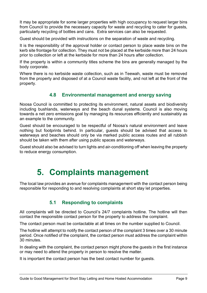It may be appropriate for some larger properties with high occupancy to request larger bins from Council to provide the necessary capacity for waste and recycling to cater for guests, particularly recycling of bottles and cans. Extra services can also be requested.

Guest should be provided with instructions on the separation of waste and recycling.

It is the responsibility of the approval holder or contact person to place waste bins on the kerb site frontage for collection. They must not be placed at the kerbside more than 24 hours prior to collection or left at the kerbside for more than 24 hours after collection.

If the property is within a community titles scheme the bins are generally managed by the body corporate.

Where there is no kerbside waste collection, such as in Teewah, waste must be removed from the property and disposed of at a Council waste facility, and not left at the front of the property.

# **4.8 Environmental management and energy saving**

<span id="page-10-0"></span>Noosa Council is committed to protecting its environment, natural assets and biodiversity including bushlands, waterways and the beach dunal systems. Council is also moving towards a net zero emissions goal by managing its resources efficiently and sustainably as an example to the community.

Guest should be encouraged to be respectful of Noosa's natural environment and leave nothing but footprints behind. In particular, guests should be advised that access to waterways and beaches should only be via marked public access routes and all rubbish should be taken with them after using public spaces and waterways.

Guest should also be advised to turn lights and air-conditioning off when leaving the property to reduce energy consumption.

# **5. Complaints management**

<span id="page-10-1"></span>The local law provides an avenue for complaints management with the contact person being responsible for responding to and resolving complaints at short stay let properties.

# **5.1 Responding to complaints**

<span id="page-10-2"></span>All complaints will be directed to Council's 24/7 complaints hotline. The hotline will then contact the responsible contact person for the property to address the complaint.

The contact person must be contactable at all times on the number supplied to Council.

The hotline will attempt to notify the contact person of the complaint 3 times over a 30 minute period. Once notified of the complaint, the contact person must address the complaint within 30 minutes.

In dealing with the complaint, the contact person might phone the guests in the first instance or may need to attend the property in person to resolve the matter.

It is important the contact person has the best contact number for guests.